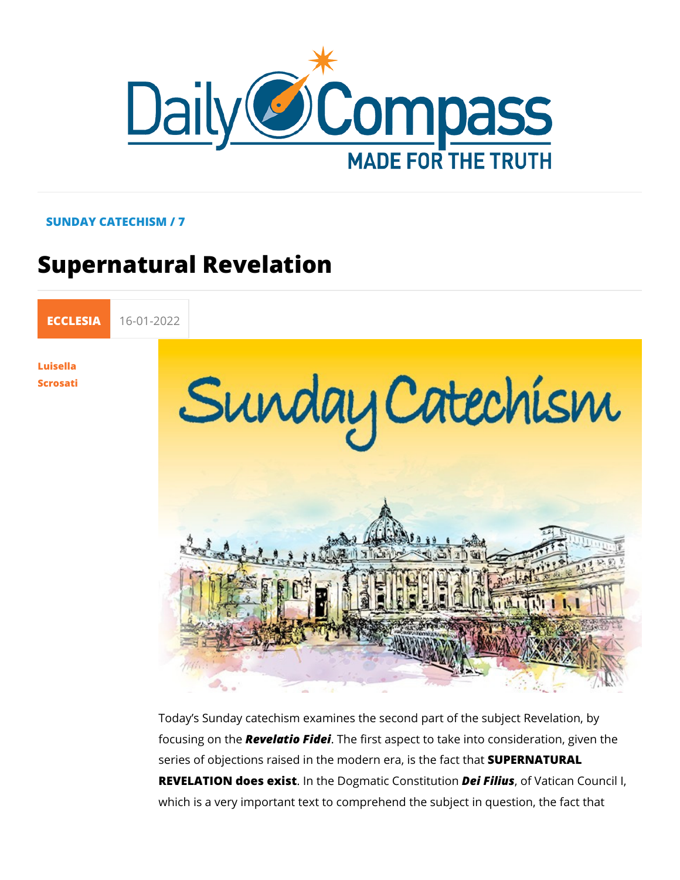## SUNDAY CATECHISM / 7

# Supernatural Revelation

[ECCLE](https://newdailycompass.com/en/ecclesia)S 16-01-2022

[Luisel](/en/luisella-scrosati)la [Scros](/en/luisella-scrosati)ati

> Today s Sunday catechism examines the second part of the sul focusing of abelatio Fidee first aspect to take into considerati series of objections raised in the moderSouPrEaRNSATINGRALLCt that REVELATIOONes exist the Dogmatic CoDetifution Vatican Council which is a very important text to comprehend the subject in qu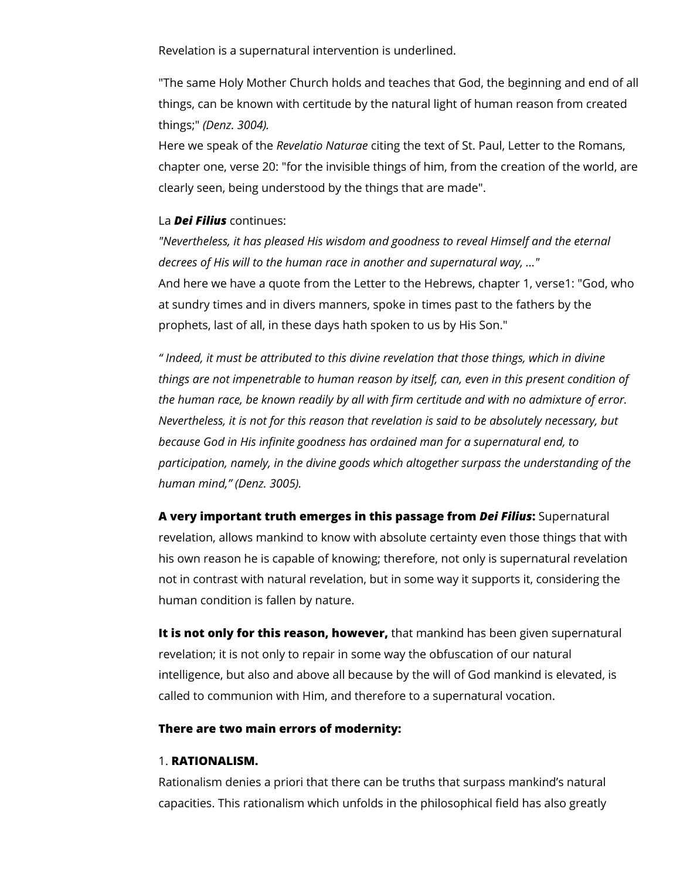Revelation is a supernatural intervention is underlined.

"The same Holy Mother Church holds and teaches that God, the beginning and end of all things, can be known with certitude by the natural light of human reason from created things;" *(Denz. 3004).*

Here we speak of the *Revelatio Naturae* citing the text of St. Paul, Letter to the Romans, chapter one, verse 20: "for the invisible things of him, from the creation of the world, are clearly seen, being understood by the things that are made".

### La *Dei Filius* continues:

*"Nevertheless, it has pleased His wisdom and goodness to reveal Himself and the eternal decrees of His will to the human race in another and supernatural way, ..."* And here we have a quote from the Letter to the Hebrews, chapter 1, verse1: "God, who at sundry times and in divers manners, spoke in times past to the fathers by the prophets, last of all, in these days hath spoken to us by His Son."

*" Indeed, it must be attributed to this divine revelation that those things, which in divine things are not impenetrable to human reason by itself, can, even in this present condition of the human race, be known readily by all with firm certitude and with no admixture of error. Nevertheless, it is not for this reason that revelation is said to be absolutely necessary, but because God in His infinite goodness has ordained man for a supernatural end, to participation, namely, in the divine goods which altogether surpass the understanding of the human mind," (Denz. 3005).*

**A very important truth emerges in this passage from** *Dei Filius***:** Supernatural revelation, allows mankind to know with absolute certainty even those things that with his own reason he is capable of knowing; therefore, not only is supernatural revelation not in contrast with natural revelation, but in some way it supports it, considering the human condition is fallen by nature.

**It is not only for this reason, however,** that mankind has been given supernatural revelation; it is not only to repair in some way the obfuscation of our natural intelligence, but also and above all because by the will of God mankind is elevated, is called to communion with Him, and therefore to a supernatural vocation.

#### **There are two main errors of modernity:**

#### 1. **RATIONALISM.**

Rationalism denies a priori that there can be truths that surpass mankind's natural capacities. This rationalism which unfolds in the philosophical field has also greatly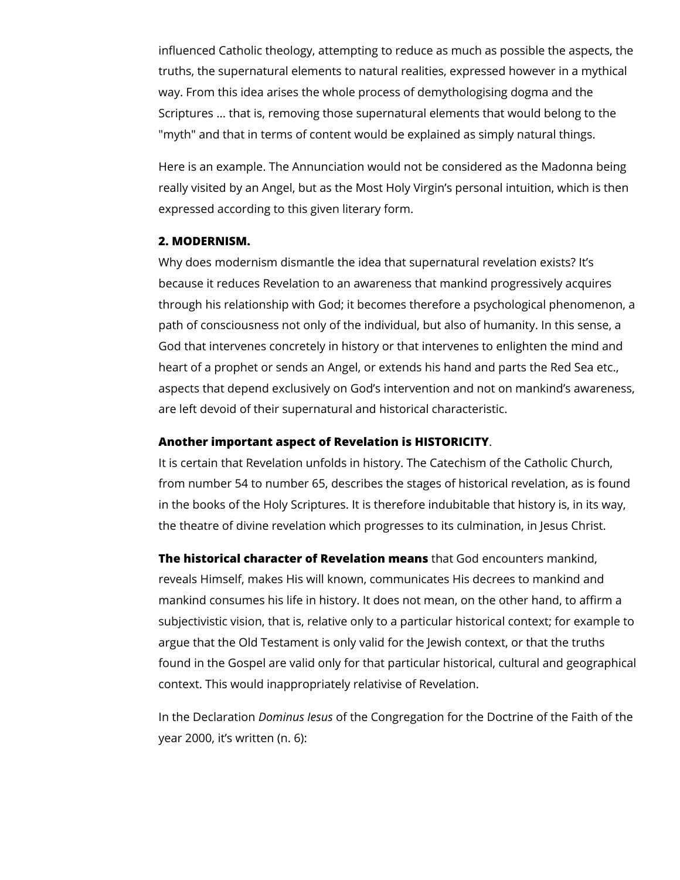influenced Catholic theology, attempting to reduce as much as possible the aspects, the truths, the supernatural elements to natural realities, expressed however in a mythical way. From this idea arises the whole process of demythologising dogma and the Scriptures ... that is, removing those supernatural elements that would belong to the "myth" and that in terms of content would be explained as simply natural things.

Here is an example. The Annunciation would not be considered as the Madonna being really visited by an Angel, but as the Most Holy Virgin's personal intuition, which is then expressed according to this given literary form.

#### **2. MODERNISM.**

Why does modernism dismantle the idea that supernatural revelation exists? It's because it reduces Revelation to an awareness that mankind progressively acquires through his relationship with God; it becomes therefore a psychological phenomenon, a path of consciousness not only of the individual, but also of humanity. In this sense, a God that intervenes concretely in history or that intervenes to enlighten the mind and heart of a prophet or sends an Angel, or extends his hand and parts the Red Sea etc., aspects that depend exclusively on God's intervention and not on mankind's awareness, are left devoid of their supernatural and historical characteristic.

#### **Another important aspect of Revelation is HISTORICITY**.

It is certain that Revelation unfolds in history. The Catechism of the Catholic Church, from number 54 to number 65, describes the stages of historical revelation, as is found in the books of the Holy Scriptures. It is therefore indubitable that history is, in its way, the theatre of divine revelation which progresses to its culmination, in Jesus Christ.

**The historical character of Revelation means** that God encounters mankind, reveals Himself, makes His will known, communicates His decrees to mankind and mankind consumes his life in history. It does not mean, on the other hand, to affirm a subjectivistic vision, that is, relative only to a particular historical context; for example to argue that the Old Testament is only valid for the Jewish context, or that the truths found in the Gospel are valid only for that particular historical, cultural and geographical context. This would inappropriately relativise of Revelation.

In the Declaration *Dominus Iesus* of the Congregation for the Doctrine of the Faith of the year 2000, it's written (n. 6):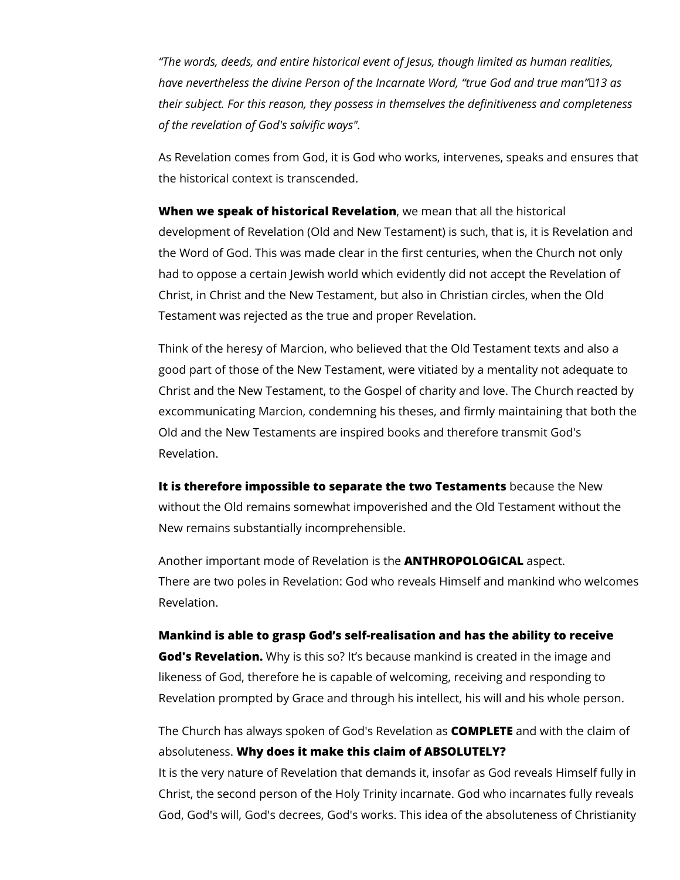*"The words, deeds, and entire historical event of Jesus, though limited as human realities, have nevertheless the divine Person of the Incarnate Word, "true God and true man"13 as their subject. For this reason, they possess in themselves the definitiveness and completeness of the revelation of God's salvific ways".*

As Revelation comes from God, it is God who works, intervenes, speaks and ensures that the historical context is transcended.

**When we speak of historical Revelation**, we mean that all the historical development of Revelation (Old and New Testament) is such, that is, it is Revelation and the Word of God. This was made clear in the first centuries, when the Church not only had to oppose a certain Jewish world which evidently did not accept the Revelation of Christ, in Christ and the New Testament, but also in Christian circles, when the Old Testament was rejected as the true and proper Revelation.

Think of the heresy of Marcion, who believed that the Old Testament texts and also a good part of those of the New Testament, were vitiated by a mentality not adequate to Christ and the New Testament, to the Gospel of charity and love. The Church reacted by excommunicating Marcion, condemning his theses, and firmly maintaining that both the Old and the New Testaments are inspired books and therefore transmit God's Revelation.

**It is therefore impossible to separate the two Testaments** because the New without the Old remains somewhat impoverished and the Old Testament without the New remains substantially incomprehensible.

Another important mode of Revelation is the **ANTHROPOLOGICAL** aspect. There are two poles in Revelation: God who reveals Himself and mankind who welcomes Revelation.

# **Mankind is able to grasp God's self-realisation and has the ability to receive God's Revelation.** Why is this so? It's because mankind is created in the image and

likeness of God, therefore he is capable of welcoming, receiving and responding to Revelation prompted by Grace and through his intellect, his will and his whole person.

The Church has always spoken of God's Revelation as **COMPLETE** and with the claim of absoluteness. **Why does it make this claim of ABSOLUTELY?**

It is the very nature of Revelation that demands it, insofar as God reveals Himself fully in Christ, the second person of the Holy Trinity incarnate. God who incarnates fully reveals God, God's will, God's decrees, God's works. This idea of the absoluteness of Christianity